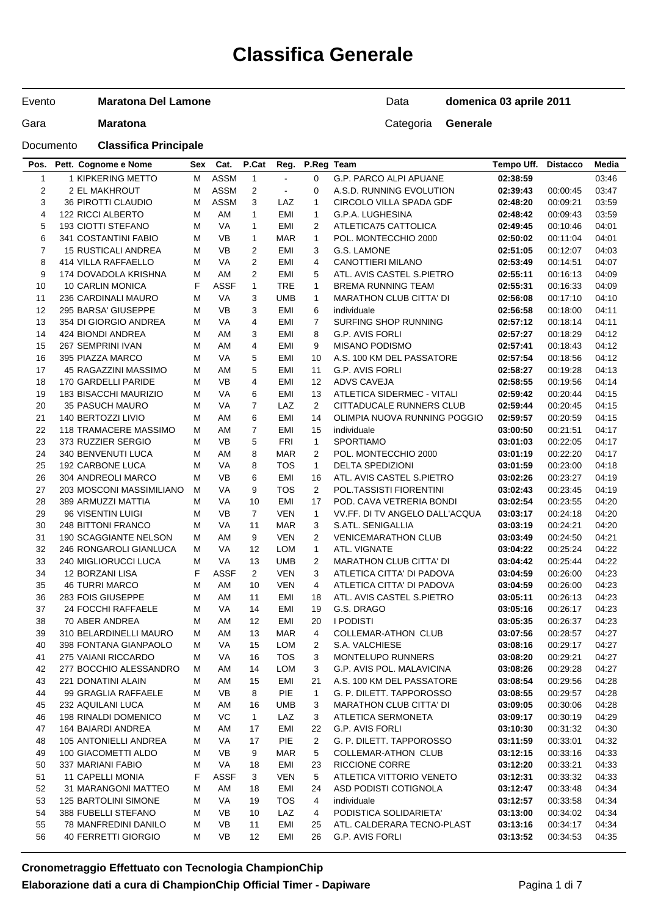# **Classifica Generale**

Evento **Maratona Del Lamone**

Documento **Classifica Principale**

Data **domenica 03 aprile 2011**

| Pos.           | Pett. Cognome e Nome         |   | Sex Cat.    | P.Cat          |                | Reg. P.Reg Team |                                | Tempo Uff. | <b>Distacco</b> | Media |
|----------------|------------------------------|---|-------------|----------------|----------------|-----------------|--------------------------------|------------|-----------------|-------|
| $\mathbf{1}$   | 1 KIPKERING METTO            | м | <b>ASSM</b> | $\mathbf{1}$   | $\blacksquare$ | $\Omega$        | G.P. PARCO ALPI APUANE         | 02:38:59   |                 | 03:46 |
| 2              | 2 EL MAKHROUT                | М | <b>ASSM</b> | $\overline{c}$ | $\blacksquare$ | 0               | A.S.D. RUNNING EVOLUTION       | 02:39:43   | 00:00:45        | 03:47 |
| 3              | <b>36 PIROTTI CLAUDIO</b>    | м | <b>ASSM</b> | 3              | LAZ            | $\mathbf{1}$    | CIRCOLO VILLA SPADA GDF        | 02:48:20   | 00:09:21        | 03:59 |
| 4              | <b>122 RICCI ALBERTO</b>     | м | AM          | $\mathbf{1}$   | EMI            | $\mathbf{1}$    | G.P.A. LUGHESINA               | 02:48:42   | 00:09:43        | 03:59 |
| 5              | <b>193 CIOTTI STEFANO</b>    | м | VA          | $\mathbf{1}$   | EMI            | 2               | ATLETICA75 CATTOLICA           | 02:49:45   | 00:10:46        | 04:01 |
| 6              | 341 COSTANTINI FABIO         | м | <b>VB</b>   | $\mathbf{1}$   | <b>MAR</b>     | $\mathbf{1}$    | POL. MONTECCHIO 2000           | 02:50:02   | 00:11:04        | 04:01 |
| $\overline{7}$ | <b>15 RUSTICALI ANDREA</b>   | м | VB          | $\overline{2}$ | EMI            | 3               | G.S. LAMONE                    | 02:51:05   | 00:12:07        | 04:03 |
| 8              | <b>414 VILLA RAFFAELLO</b>   | м | VA          | $\overline{2}$ | EMI            | 4               | CANOTTIERI MILANO              | 02:53:49   | 00:14:51        | 04:07 |
| 9              | 174 DOVADOLA KRISHNA         | м | AM          | $\overline{2}$ | EMI            | 5               | ATL. AVIS CASTEL S.PIETRO      | 02:55:11   | 00:16:13        | 04:09 |
| 10             | 10 CARLIN MONICA             | F | <b>ASSF</b> | $\mathbf{1}$   | <b>TRE</b>     | $\mathbf{1}$    | <b>BREMA RUNNING TEAM</b>      | 02:55:31   | 00:16:33        | 04:09 |
| 11             | 236 CARDINALI MAURO          | м | VA          | 3              | UMB            | $\mathbf{1}$    | MARATHON CLUB CITTA' DI        | 02:56:08   | 00:17:10        | 04:10 |
| 12             | 295 BARSA' GIUSEPPE          | м | <b>VB</b>   | 3              | EMI            | 6               | individuale                    | 02:56:58   | 00:18:00        | 04:11 |
| 13             | 354 DI GIORGIO ANDREA        | м | VA          | $\overline{4}$ | EMI            | $\overline{7}$  | SURFING SHOP RUNNING           | 02:57:12   | 00:18:14        | 04:11 |
| 14             | 424 BIONDI ANDREA            | м | AM          | 3              | EMI            | 8               | G.P. AVIS FORLI                | 02:57:27   | 00:18:29        | 04:12 |
| 15             | 267 SEMPRINI IVAN            | м | AM          | 4              | EMI            | 9               | <b>MISANO PODISMO</b>          | 02:57:41   | 00:18:43        | 04:12 |
| 16             | 395 PIAZZA MARCO             | м | VA          | 5              | EMI            | 10              | A.S. 100 KM DEL PASSATORE      | 02:57:54   | 00:18:56        | 04:12 |
| 17             | 45 RAGAZZINI MASSIMO         | м | AM          | 5              | EMI            | 11              | G.P. AVIS FORLI                | 02:58:27   | 00:19:28        | 04:13 |
| 18             | 170 GARDELLI PARIDE          | м | <b>VB</b>   | 4              | EMI            | 12              | ADVS CAVEJA                    | 02:58:55   | 00:19:56        | 04:14 |
| 19             | 183 BISACCHI MAURIZIO        | м | VA          | 6              | EMI            | 13              | ATLETICA SIDERMEC - VITALI     | 02:59:42   | 00:20:44        | 04:15 |
| 20             | <b>35 PASUCH MAURO</b>       | М | VA          | $\overline{7}$ | LAZ            | $\overline{2}$  | CITTADUCALE RUNNERS CLUB       | 02:59:44   | 00:20:45        | 04:15 |
| 21             | 140 BERTOZZI LIVIO           | м | AM          | 6              | EMI            | 14              | OLIMPIA NUOVA RUNNING POGGIO   | 02:59:57   | 00:20:59        | 04:15 |
| 22             | <b>118 TRAMACERE MASSIMO</b> | м | AM          | 7              | EMI            | 15              | individuale                    | 03:00:50   | 00:21:51        | 04:17 |
| 23             | 373 RUZZIER SERGIO           | м | VB          | 5              | <b>FRI</b>     | $\mathbf{1}$    | <b>SPORTIAMO</b>               | 03:01:03   | 00:22:05        | 04:17 |
| 24             | 340 BENVENUTI LUCA           | м | AM          | 8              | <b>MAR</b>     | 2               | POL. MONTECCHIO 2000           | 03:01:19   | 00:22:20        | 04:17 |
| 25             | 192 CARBONE LUCA             | М | VA          | 8              | <b>TOS</b>     | $\mathbf{1}$    | <b>DELTA SPEDIZIONI</b>        | 03:01:59   | 00:23:00        | 04:18 |
| 26             | 304 ANDREOLI MARCO           | м | VB          | 6              | EMI            | 16              | ATL. AVIS CASTEL S.PIETRO      | 03:02:26   | 00:23:27        | 04:19 |
| 27             | 203 MOSCONI MASSIMILIANO     | м | VA          | 9              | <b>TOS</b>     | 2               | POL.TASSISTI FIORENTINI        | 03:02:43   | 00:23:45        | 04:19 |
| 28             | 389 ARMUZZI MATTIA           | м | VA          | 10             | EMI            | 17              | POD. CAVA VETRERIA BONDI       | 03:02:54   | 00:23:55        | 04:20 |
| 29             | 96 VISENTIN LUIGI            | м | VB          | $\overline{7}$ | <b>VEN</b>     | $\mathbf 1$     | VV.FF. DI TV ANGELO DALL'ACQUA | 03:03:17   | 00:24:18        | 04:20 |
| 30             | 248 BITTONI FRANCO           | м | VA          | 11             | <b>MAR</b>     | 3               | S.ATL. SENIGALLIA              | 03:03:19   | 00:24:21        | 04:20 |
| 31             | 190 SCAGGIANTE NELSON        | м | AM          | 9              | <b>VEN</b>     | 2               | <b>VENICEMARATHON CLUB</b>     | 03:03:49   | 00:24:50        | 04:21 |
| 32             | 246 RONGAROLI GIANLUCA       | м | VA          | 12             | LOM            | $\mathbf{1}$    | ATL. VIGNATE                   | 03:04:22   | 00:25:24        | 04:22 |
| 33             | 240 MIGLIORUCCI LUCA         | м | VA          | 13             | <b>UMB</b>     | 2               | <b>MARATHON CLUB CITTA' DI</b> | 03:04:42   | 00:25:44        | 04:22 |
| 34             | 12 BORZANI LISA              | F | <b>ASSF</b> | $\overline{2}$ | <b>VEN</b>     | 3               | ATLETICA CITTA' DI PADOVA      | 03:04:59   | 00:26:00        | 04:23 |
| 35             | <b>46 TURRI MARCO</b>        | м | AM          | 10             | <b>VEN</b>     | 4               | ATLETICA CITTA' DI PADOVA      | 03:04:59   | 00:26:00        | 04:23 |
| 36             | 283 FOIS GIUSEPPE            | м | AM          | 11             | EMI            | 18              | ATL. AVIS CASTEL S.PIETRO      | 03:05:11   | 00:26:13        | 04:23 |
| 37             | 24 FOCCHI RAFFAELE           | м | VA          | 14             | EMI            | 19              | G.S. DRAGO                     | 03:05:16   | 00:26:17        | 04:23 |
| 38             | 70 ABER ANDREA               | м | AM          | 12             | EMI            | 20              | <b>I PODISTI</b>               | 03:05:35   | 00:26:37        | 04:23 |
| 39             | 310 BELARDINELLI MAURO       | м | AM          | 13             | <b>MAR</b>     | $\overline{4}$  | <b>COLLEMAR-ATHON CLUB</b>     | 03:07:56   | 00:28:57        | 04:27 |
| 40             | 398 FONTANA GIANPAOLO        | M | VA          | 15             | LOM            | $\overline{2}$  | S.A. VALCHIESE                 | 03:08:16   | 00:29:17        | 04:27 |
| 41             | 275 VAIANI RICCARDO          | м | VA          | 16             | <b>TOS</b>     | 3               | <b>MONTELUPO RUNNERS</b>       | 03:08:20   | 00:29:21        | 04:27 |
| 42             | 277 BOCCHIO ALESSANDRO       | M | AM          | 14             | <b>LOM</b>     | 3               | G.P. AVIS POL. MALAVICINA      | 03:08:26   | 00:29:28        | 04:27 |
| 43             | <b>221 DONATINI ALAIN</b>    | м | AM          | 15             | EMI            | 21              | A.S. 100 KM DEL PASSATORE      | 03:08:54   | 00:29:56        | 04:28 |
| 44             | 99 GRAGLIA RAFFAELE          | м | VB          | 8              | PIE            | $\mathbf{1}$    | G. P. DILETT. TAPPOROSSO       | 03:08:55   | 00:29:57        | 04:28 |
| 45             | 232 AQUILANI LUCA            | M | AM          | 16             | <b>UMB</b>     | 3               | <b>MARATHON CLUB CITTA' DI</b> | 03:09:05   | 00:30:06        | 04:28 |
| 46             | 198 RINALDI DOMENICO         | м | VC          | $\mathbf{1}$   | LAZ            | 3               | ATLETICA SERMONETA             | 03:09:17   | 00:30:19        | 04:29 |
| 47             | 164 BAIARDI ANDREA           | M | AM          | 17             | EMI            | 22              | G.P. AVIS FORLI                | 03:10:30   | 00:31:32        | 04:30 |
| 48             | 105 ANTONIELLI ANDREA        | M | VA          | 17             | PIE            | 2               | G. P. DILETT. TAPPOROSSO       | 03:11:59   | 00:33:01        | 04:32 |
| 49             | 100 GIACOMETTI ALDO          | м | VB          | 9              | <b>MAR</b>     | 5               | <b>COLLEMAR-ATHON CLUB</b>     | 03:12:15   | 00:33:16        | 04:33 |
| 50             | 337 MARIANI FABIO            | M | VA          | 18             | EMI            | 23              | <b>RICCIONE CORRE</b>          | 03:12:20   | 00:33:21        | 04:33 |
| 51             | <b>11 CAPELLI MONIA</b>      | F | ASSF        | 3              | <b>VEN</b>     | 5               | ATLETICA VITTORIO VENETO       | 03:12:31   | 00:33:32        | 04:33 |
| 52             | 31 MARANGONI MATTEO          | M | AM          | 18             | EMI            | 24              | ASD PODISTI COTIGNOLA          | 03:12:47   | 00:33:48        | 04:34 |
| 53             | <b>125 BARTOLINI SIMONE</b>  | м | VA          | 19             | <b>TOS</b>     | 4               | individuale                    | 03:12:57   | 00:33:58        | 04:34 |
| 54             | 388 FUBELLI STEFANO          | M | VB          | 10             | LAZ            | 4               | PODISTICA SOLIDARIETA'         | 03:13:00   | 00:34:02        | 04:34 |
| 55             | 78 MANFREDINI DANILO         | м | VB          | 11             | EMI            | 25              | ATL. CALDERARA TECNO-PLAST     | 03:13:16   | 00:34:17        | 04:34 |
| 56             | 40 FERRETTI GIORGIO          | м | VB          | 12             | EMI            | 26              | G.P. AVIS FORLI                | 03:13:52   | 00:34:53        | 04:35 |
|                |                              |   |             |                |                |                 |                                |            |                 |       |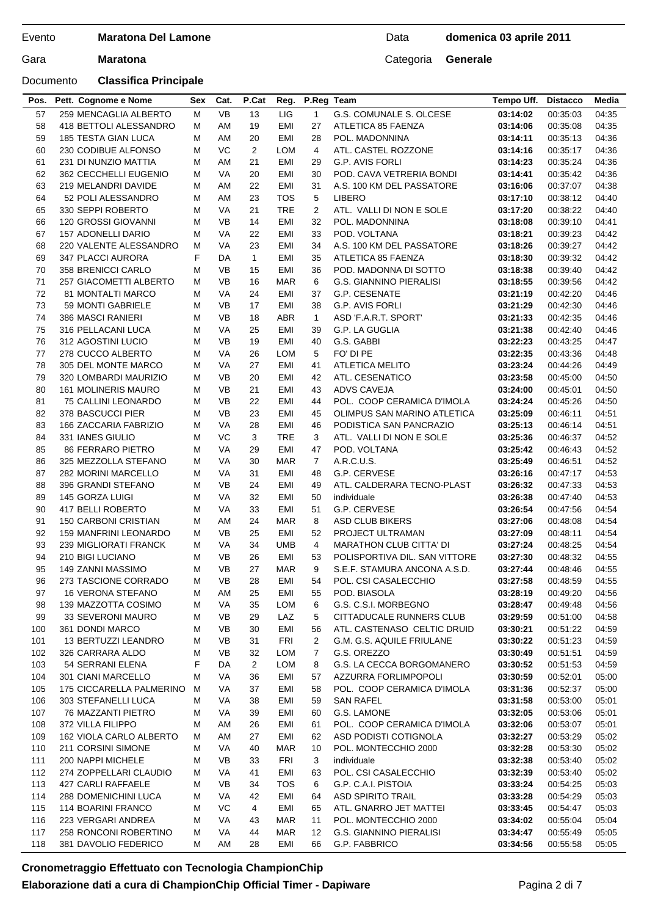Documento **Classifica Principale**

| Pos.     | Pett. Cognome e Nome                     | Sex    | Cat.            | P.Cat          | Reg.              | P.Reg Team     |                                                        | Tempo Uff.           | <b>Distacco</b>      | Media          |
|----------|------------------------------------------|--------|-----------------|----------------|-------------------|----------------|--------------------------------------------------------|----------------------|----------------------|----------------|
| 57       | 259 MENCAGLIA ALBERTO                    | M      | <b>VB</b>       | 13             | LIG               | $\mathbf{1}$   | G.S. COMUNALE S. OLCESE                                | 03:14:02             | 00:35:03             | 04:35          |
| 58       | 418 BETTOLI ALESSANDRO                   | м      | AM              | 19             | EMI               | 27             | ATLETICA 85 FAENZA                                     | 03:14:06             | 00:35:08             | 04:35          |
| 59       | 185 TESTA GIAN LUCA                      | М      | AM              | 20             | EMI               | 28             | POL. MADONNINA                                         | 03:14:11             | 00:35:13             | 04:36          |
| 60       | 230 CODIBUE ALFONSO                      | М      | VC              | $\overline{2}$ | <b>LOM</b>        | 4              | ATL. CASTEL ROZZONE                                    | 03:14:16             | 00:35:17             | 04:36          |
| 61       | 231 DI NUNZIO MATTIA                     | М      | AM              | 21             | <b>EMI</b>        | 29             | <b>G.P. AVIS FORLI</b>                                 | 03:14:23             | 00:35:24             | 04:36          |
| 62       | 362 CECCHELLI EUGENIO                    | м      | VA              | 20             | EMI               | 30             | POD. CAVA VETRERIA BONDI                               | 03:14:41             | 00:35:42             | 04:36          |
| 63       | 219 MELANDRI DAVIDE                      | М      | AM              | 22             | EMI               | 31             | A.S. 100 KM DEL PASSATORE                              | 03:16:06             | 00:37:07             | 04:38          |
| 64       | 52 POLI ALESSANDRO                       | М      | AM              | 23             | <b>TOS</b>        | 5              | LIBERO                                                 | 03:17:10             | 00:38:12             | 04:40          |
| 65       | 330 SEPPI ROBERTO                        | м      | VA              | 21             | <b>TRE</b>        | 2              | ATL. VALLI DI NON E SOLE                               | 03:17:20             | 00:38:22             | 04:40          |
| 66       | 120 GROSSI GIOVANNI                      | М      | <b>VB</b>       | 14             | EMI               | 32             | POL. MADONNINA                                         | 03:18:08             | 00:39:10             | 04:41          |
| 67       | 157 ADONELLI DARIO                       | М      | VA              | 22             | <b>EMI</b>        | 33             | POD, VOLTANA                                           | 03:18:21             | 00:39:23             | 04:42          |
| 68       | 220 VALENTE ALESSANDRO                   | м      | VA              | 23             | EMI               | 34             | A.S. 100 KM DEL PASSATORE                              | 03:18:26             | 00:39:27             | 04:42          |
| 69       | 347 PLACCI AURORA                        | F      | DA              | $\mathbf{1}$   | EMI               | 35             | ATLETICA 85 FAENZA                                     | 03:18:30             | 00:39:32             | 04:42          |
| 70       | 358 BRENICCI CARLO                       | М      | <b>VB</b>       | 15             | EMI               | 36             | POD. MADONNA DI SOTTO                                  | 03:18:38             | 00:39:40             | 04:42          |
| 71       | 257 GIACOMETTI ALBERTO                   | М      | <b>VB</b>       | 16             | MAR               | 6              | <b>G.S. GIANNINO PIERALISI</b>                         | 03:18:55             | 00:39:56             | 04:42          |
| 72       | 81 MONTALTI MARCO                        | М      | VA              | 24             | EMI               | 37             | G.P. CESENATE                                          | 03:21:19             | 00:42:20             | 04:46          |
| 73       | 59 MONTI GABRIELE                        | М      | VB              | 17             | EMI               | 38             | G.P. AVIS FORLI                                        | 03:21:29             | 00:42:30             | 04:46          |
| 74       | 386 MASCI RANIERI                        | М      | VB              | 18             | ABR               | $\mathbf{1}$   | ASD 'F.A.R.T. SPORT'                                   | 03:21:33             | 00:42:35             | 04:46          |
| 75       | 316 PELLACANI LUCA                       | М      | VA              | 25             | EMI               | 39             | G.P. LA GUGLIA                                         | 03:21:38             | 00:42:40             | 04:46          |
| 76       | 312 AGOSTINI LUCIO                       | М      | <b>VB</b>       | 19             | EMI               | 40             | G.S. GABBI                                             | 03:22:23             | 00:43:25             | 04:47          |
| 77       | 278 CUCCO ALBERTO                        | м      | VA              | 26             | LOM               | 5              | FO' DI PE                                              | 03:22:35             | 00:43:36             | 04:48          |
| 78       | 305 DEL MONTE MARCO                      | М      | VA              | 27             | EMI               | 41             | <b>ATLETICA MELITO</b>                                 | 03:23:24             | 00:44:26             | 04:49          |
| 79       | 320 LOMBARDI MAURIZIO                    | м      | <b>VB</b>       | 20             | <b>EMI</b>        | 42             | ATL. CESENATICO                                        | 03:23:58             | 00:45:00             | 04:50          |
| 80<br>81 | <b>161 MOLINERIS MAURO</b>               | м      | VB<br><b>VB</b> | 21<br>22       | EMI<br><b>EMI</b> | 43             | ADVS CAVEJA                                            | 03:24:00             | 00:45:01             | 04:50          |
|          | 75 CALLINI LEONARDO<br>378 BASCUCCI PIER | М      | <b>VB</b>       | 23             | <b>EMI</b>        | 44             | POL. COOP CERAMICA D'IMOLA                             | 03:24:24             | 00:45:26             | 04:50<br>04:51 |
| 82<br>83 | 166 ZACCARIA FABRIZIO                    | м<br>м | <b>VA</b>       | 28             | EMI               | 45<br>46       | OLIMPUS SAN MARINO ATLETICA<br>PODISTICA SAN PANCRAZIO | 03:25:09<br>03:25:13 | 00:46:11<br>00:46:14 | 04:51          |
| 84       | 331 IANES GIULIO                         | М      | VC              | 3              | <b>TRE</b>        | 3              | ATL. VALLI DI NON E SOLE                               | 03:25:36             | 00:46:37             | 04:52          |
| 85       | <b>86 FERRARO PIETRO</b>                 | М      | VA              | 29             | EMI               | 47             | POD. VOLTANA                                           | 03:25:42             | 00:46:43             | 04:52          |
| 86       | 325 MEZZOLLA STEFANO                     | м      | VA              | 30             | MAR               | $\overline{7}$ | A.R.C.U.S.                                             | 03:25:49             | 00:46:51             | 04:52          |
| 87       | 282 MORINI MARCELLO                      | М      | VA              | 31             | EMI               | 48             | G.P. CERVESE                                           | 03:26:16             | 00:47:17             | 04:53          |
| 88       | 396 GRANDI STEFANO                       | м      | <b>VB</b>       | 24             | <b>EMI</b>        | 49             | ATL. CALDERARA TECNO-PLAST                             | 03:26:32             | 00:47:33             | 04:53          |
| 89       | 145 GORZA LUIGI                          | м      | VA              | 32             | EMI               | 50             | individuale                                            | 03:26:38             | 00:47:40             | 04:53          |
| 90       | 417 BELLI ROBERTO                        | М      | VA              | 33             | EMI               | 51             | G.P. CERVESE                                           | 03:26:54             | 00:47:56             | 04:54          |
| 91       | <b>150 CARBONI CRISTIAN</b>              | м      | AM              | 24             | MAR               | 8              | <b>ASD CLUB BIKERS</b>                                 | 03:27:06             | 00:48:08             | 04:54          |
| 92       | <b>159 MANFRINI LEONARDO</b>             | м      | VB              | 25             | EMI               | 52             | PROJECT ULTRAMAN                                       | 03:27:09             | 00:48:11             | 04:54          |
| 93       | 239 MIGLIORATI FRANCK                    | М      | VA              | 34             | UMB               | 4              | <b>MARATHON CLUB CITTA' DI</b>                         | 03:27:24             | 00:48:25             | 04:54          |
| 94       | 210 BIGI LUCIANO                         | М      | <b>VB</b>       | 26             | EMI               | 53             | POLISPORTIVA DIL. SAN VITTORE                          | 03:27:30             | 00:48:32             | 04:55          |
| 95       | <b>149 ZANNI MASSIMO</b>                 | М      | <b>VB</b>       | 27             | <b>MAR</b>        | 9              | S.E.F. STAMURA ANCONA A.S.D.                           | 03:27:44             | 00:48:46             | 04:55          |
| 96       | 273 TASCIONE CORRADO                     | м      | VB              | 28             | EMI               | 54             | POL. CSI CASALECCHIO                                   | 03:27:58             | 00:48:59             | 04:55          |
| 97       | <b>16 VERONA STEFANO</b>                 | м      | AM              | 25             | EMI               | 55             | POD. BIASOLA                                           | 03:28:19             | 00:49:20             | 04:56          |
| 98       | 139 MAZZOTTA COSIMO                      | м      | VA              | 35             | LOM               | 6              | G.S. C.S.I. MORBEGNO                                   | 03:28:47             | 00:49:48             | 04:56          |
| 99       | 33 SEVERONI MAURO                        | м      | VB              | 29             | LAZ               | 5              | CITTADUCALE RUNNERS CLUB                               | 03:29:59             | 00:51:00             | 04:58          |
| 100      | 361 DONDI MARCO                          | м      | VB              | 30             | EMI               | 56             | ATL. CASTENASO CELTIC DRUID                            | 03:30:21             | 00:51:22             | 04:59          |
| 101      | 13 BERTUZZI LEANDRO                      | М      | VB              | 31             | FRI               | 2              | G.M. G.S. AQUILE FRIULANE                              | 03:30:22             | 00:51:23             | 04:59          |
| 102      | 326 CARRARA ALDO                         | М      | VB              | 32             | <b>LOM</b>        | $\overline{7}$ | G.S. OREZZO                                            | 03:30:49             | 00:51:51             | 04:59          |
| 103      | 54 SERRANI ELENA                         | F      | DA              | $\overline{2}$ | LOM               | 8              | G.S. LA CECCA BORGOMANERO                              | 03:30:52             | 00:51:53             | 04:59          |
| 104      | 301 CIANI MARCELLO                       | М      | VA              | 36             | EMI               | 57             | <b>AZZURRA FORLIMPOPOLI</b>                            | 03:30:59             | 00:52:01             | 05:00          |
| 105      | 175 CICCARELLA PALMERINO                 | м      | VA              | 37             | EMI               | 58             | POL. COOP CERAMICA D'IMOLA                             | 03:31:36             | 00:52:37             | 05:00          |
| 106      | 303 STEFANELLI LUCA                      | М      | VA              | 38             | EMI               | 59             | <b>SAN RAFEL</b>                                       | 03:31:58             | 00:53:00             | 05:01          |
| 107      | 76 MAZZANTI PIETRO                       | М      | VA              | 39             | EMI               | 60             | G.S. LAMONE                                            | 03:32:05             | 00:53:06             | 05:01          |
| 108      | 372 VILLA FILIPPO                        | М      | AM              | 26             | EMI               | 61             | POL. COOP CERAMICA D'IMOLA                             | 03:32:06             | 00:53:07             | 05:01          |
| 109      | 162 VIOLA CARLO ALBERTO                  | M      | AM              | 27             | EMI               | 62             | ASD PODISTI COTIGNOLA                                  | 03:32:27             | 00:53:29             | 05:02          |
| 110      | 211 CORSINI SIMONE                       | М      | VA              | 40             | MAR               | 10             | POL. MONTECCHIO 2000                                   | 03:32:28             | 00:53:30             | 05:02          |
| 111      | 200 NAPPI MICHELE                        | М      | VB              | 33             | FRI               | 3              | individuale                                            | 03:32:38             | 00:53:40             | 05:02          |
| 112      | 274 ZOPPELLARI CLAUDIO                   | М      | VA              | 41             | EMI               | 63             | POL. CSI CASALECCHIO                                   | 03:32:39             | 00:53:40             | 05:02          |
| 113      | 427 CARLI RAFFAELE                       | М      | <b>VB</b>       | 34             | TOS               | 6              | G.P. C.A.I. PISTOIA                                    | 03:33:24             | 00:54:25             | 05:03          |
| 114      | 288 DOMENICHINI LUCA                     | M      | VA              | 42             | EMI               | 64             | <b>ASD SPIRITO TRAIL</b>                               | 03:33:28             | 00:54:29             | 05:03          |
| 115      | 114 BOARINI FRANCO                       | М      | VC              | 4              | EMI               | 65             | ATL. GNARRO JET MATTEI                                 | 03:33:45             | 00:54:47             | 05:03          |
| 116      | 223 VERGARI ANDREA                       | М      | VA              | 43             | MAR               | 11             | POL. MONTECCHIO 2000                                   | 03:34:02             | 00:55:04             | 05:04          |
| 117      | 258 RONCONI ROBERTINO                    | М      | VA              | 44             | <b>MAR</b>        | 12             | <b>G.S. GIANNINO PIERALISI</b>                         | 03:34:47             | 00:55:49             | 05:05          |
| 118      | 381 DAVOLIO FEDERICO                     | м      | AM              | 28             | EMI               | 66             | G.P. FABBRICO                                          | 03:34:56             | 00:55:58             | 05:05          |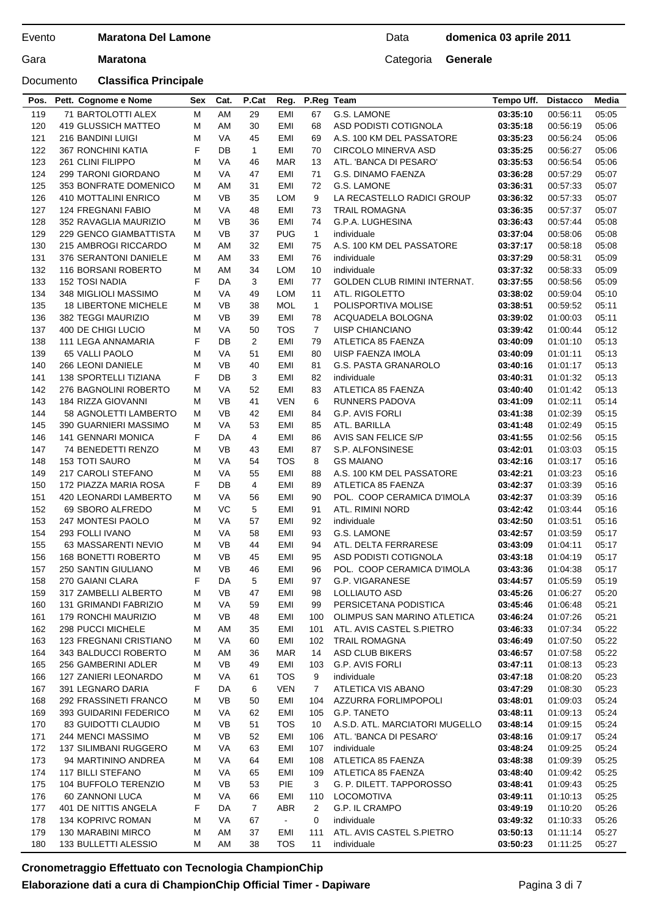## Documento **Classifica Principale**

| Pos. | Pett. Cognome e Nome          | Sex | Cat.      | P.Cat          | Reg.                        | P.Reg Team     |                                | Tempo Uff. | <b>Distacco</b> | Media |
|------|-------------------------------|-----|-----------|----------------|-----------------------------|----------------|--------------------------------|------------|-----------------|-------|
| 119  | 71 BARTOLOTTI ALEX            | М   | AM        | 29             | EMI                         | 67             | G.S. LAMONE                    | 03:35:10   | 00:56:11        | 05:05 |
| 120  | 419 GLUSSICH MATTEO           | М   | AM        | 30             | EMI                         | 68             | ASD PODISTI COTIGNOLA          | 03:35:18   | 00:56:19        | 05:06 |
| 121  | 216 BANDINI LUIGI             | М   | VA        | 45             | EMI                         | 69             | A.S. 100 KM DEL PASSATORE      | 03:35:23   | 00:56:24        | 05:06 |
| 122  | 367 RONCHINI KATIA            | F   | DB        | $\mathbf{1}$   | EMI                         | 70             | <b>CIRCOLO MINERVA ASD</b>     | 03:35:25   | 00:56:27        | 05:06 |
| 123  | 261 CLINI FILIPPO             | М   | VA        | 46             | <b>MAR</b>                  | 13             | ATL. 'BANCA DI PESARO'         | 03:35:53   | 00:56:54        | 05:06 |
| 124  | 299 TARONI GIORDANO           | М   | VA        | 47             | EMI                         | 71             | <b>G.S. DINAMO FAENZA</b>      | 03:36:28   | 00:57:29        | 05:07 |
| 125  | 353 BONFRATE DOMENICO         | м   | AM        | 31             | EMI                         | 72             | G.S. LAMONE                    | 03:36:31   | 00:57:33        | 05:07 |
| 126  | 410 MOTTALINI ENRICO          | М   | VB        | 35             | LOM                         | 9              | LA RECASTELLO RADICI GROUP     | 03:36:32   | 00:57:33        | 05:07 |
| 127  | <b>124 FREGNANI FABIO</b>     | М   | VA        | 48             | EMI                         | 73             | <b>TRAIL ROMAGNA</b>           | 03:36:35   | 00:57:37        | 05:07 |
| 128  | 352 RAVAGLIA MAURIZIO         | м   | <b>VB</b> | 36             | EMI                         | 74             | G.P.A. LUGHESINA               | 03:36:43   | 00:57:44        | 05:08 |
| 129  | 229 GENCO GIAMBATTISTA        | м   | <b>VB</b> | 37             | <b>PUG</b>                  | $\mathbf{1}$   | individuale                    | 03:37:04   | 00:58:06        | 05:08 |
| 130  | 215 AMBROGI RICCARDO          | М   | AM        | 32             | EMI                         | 75             | A.S. 100 KM DEL PASSATORE      | 03:37:17   | 00:58:18        | 05:08 |
| 131  | 376 SERANTONI DANIELE         | м   | AM        | 33             | EMI                         | 76             | individuale                    | 03:37:29   | 00:58:31        | 05:09 |
| 132  | 116 BORSANI ROBERTO           | М   | AM        | 34             | <b>LOM</b>                  | 10             | individuale                    | 03:37:32   | 00:58:33        | 05:09 |
| 133  | <b>152 TOSI NADIA</b>         | F   | DA        | 3              | EMI                         | 77             | GOLDEN CLUB RIMINI INTERNAT.   | 03:37:55   | 00:58:56        | 05:09 |
| 134  | 348 MIGLIOLI MASSIMO          | М   | VA        | 49             | LOM                         | 11             | ATL. RIGOLETTO                 | 03:38:02   | 00:59:04        | 05:10 |
| 135  | <b>18 LIBERTONE MICHELE</b>   | м   | <b>VB</b> | 38             | <b>MOL</b>                  | $\mathbf{1}$   | POLISPORTIVA MOLISE            | 03:38:51   | 00:59:52        | 05:11 |
| 136  | 382 TEGGI MAURIZIO            | М   | <b>VB</b> | 39             | EMI                         | 78             | ACQUADELA BOLOGNA              | 03:39:02   | 01:00:03        | 05:11 |
| 137  | 400 DE CHIGI LUCIO            | М   | VA        | 50             | <b>TOS</b>                  | $\overline{7}$ | UISP CHIANCIANO                | 03:39:42   | 01:00:44        | 05:12 |
| 138  | 111 LEGA ANNAMARIA            | F   | DB        | $\overline{2}$ | EMI                         | 79             | ATLETICA 85 FAENZA             | 03:40:09   | 01:01:10        | 05:13 |
| 139  | 65 VALLI PAOLO                | М   | VA        | 51             | EMI                         | 80             | UISP FAENZA IMOLA              | 03:40:09   | 01:01:11        | 05:13 |
| 140  | 266 LEONI DANIELE             | М   | VB        | 40             | EMI                         | 81             | G.S. PASTA GRANAROLO           | 03:40:16   | 01:01:17        | 05:13 |
| 141  | <b>138 SPORTELLI TIZIANA</b>  | F   | DB        | 3              | EMI                         | 82             | individuale                    | 03:40:31   | 01:01:32        | 05:13 |
| 142  | 276 BAGNOLINI ROBERTO         | М   | VA        | 52             | EMI                         | 83             | ATLETICA 85 FAENZA             | 03:40:40   | 01:01:42        | 05:13 |
| 143  | 184 RIZZA GIOVANNI            | м   | <b>VB</b> | 41             | <b>VEN</b>                  | 6              | RUNNERS PADOVA                 | 03:41:09   | 01:02:11        | 05:14 |
| 144  | 58 AGNOLETTI LAMBERTO         | м   | <b>VB</b> | 42             | EMI                         | 84             | G.P. AVIS FORLI                | 03:41:38   | 01:02:39        | 05:15 |
| 145  | 390 GUARNIERI MASSIMO         | М   | VA        | 53             | EMI                         | 85             | ATL. BARILLA                   | 03:41:48   | 01:02:49        | 05:15 |
| 146  | <b>141 GENNARI MONICA</b>     | F   | DA        | 4              | EMI                         | 86             | AVIS SAN FELICE S/P            | 03:41:55   | 01:02:56        | 05:15 |
| 147  | 74 BENEDETTI RENZO            | М   | <b>VB</b> | 43             | EMI                         | 87             | S.P. ALFONSINESE               | 03:42:01   | 01:03:03        | 05:15 |
| 148  | <b>153 TOTI SAURO</b>         | М   | VA        | 54             | <b>TOS</b>                  | 8              | <b>GS MAIANO</b>               | 03:42:16   | 01:03:17        | 05:16 |
| 149  | 217 CAROLI STEFANO            | м   | VA        | 55             | EMI                         | 88             | A.S. 100 KM DEL PASSATORE      | 03:42:21   | 01:03:23        | 05:16 |
| 150  | 172 PIAZZA MARIA ROSA         | F   | DB        | 4              | EMI                         | 89             | ATLETICA 85 FAENZA             | 03:42:37   | 01:03:39        | 05:16 |
| 151  | 420 LEONARDI LAMBERTO         | М   | VA        | 56             | EMI                         | 90             | POL. COOP CERAMICA D'IMOLA     | 03:42:37   | 01:03:39        | 05:16 |
| 152  | 69 SBORO ALFREDO              | м   | VC        | 5              | EMI                         | 91             | ATL. RIMINI NORD               | 03:42:42   | 01:03:44        | 05:16 |
| 153  | 247 MONTESI PAOLO             | м   | VA        | 57             | EMI                         | 92             | individuale                    | 03:42:50   | 01:03:51        | 05:16 |
| 154  | 293 FOLLI IVANO               | м   | VA        | 58             | EMI                         | 93             | G.S. LAMONE                    | 03:42:57   | 01:03:59        | 05:17 |
| 155  | 63 MASSARENTI NEVIO           | м   | VB        | 44             | EMI                         | 94             | ATL. DELTA FERRARESE           | 03:43:09   | 01:04:11        | 05:17 |
| 156  | 168 BONETTI ROBERTO           | М   | <b>VB</b> | 45             | EMI                         | 95             | ASD PODISTI COTIGNOLA          | 03:43:18   | 01:04:19        | 05:17 |
| 157  | <b>250 SANTIN GIULIANO</b>    | M   | <b>VB</b> | 46             | EMI                         | 96             | POL. COOP CERAMICA D'IMOLA     | 03:43:36   | 01:04:38        | 05:17 |
| 158  | 270 GAIANI CLARA              | F   | DA        | 5              | EMI                         | 97             | G.P. VIGARANESE                | 03:44:57   | 01:05:59        | 05:19 |
| 159  | 317 ZAMBELLI ALBERTO          | м   | VB        | 47             | EMI                         | 98             | LOLLIAUTO ASD                  | 03:45:26   | 01:06:27        | 05:20 |
| 160  | 131 GRIMANDI FABRIZIO         | М   | VA        | 59             | EMI                         | 99             | PERSICETANA PODISTICA          | 03:45:46   | 01:06:48        | 05:21 |
| 161  | 179 RONCHI MAURIZIO           | M   | VB        | 48             | EMI                         | 100            | OLIMPUS SAN MARINO ATLETICA    | 03:46:24   | 01:07:26        | 05:21 |
| 162  | 298 PUCCI MICHELE             | м   | AM        | 35             | EMI                         | 101            | ATL. AVIS CASTEL S.PIETRO      | 03:46:33   | 01:07:34        | 05:22 |
| 163  | <b>123 FREGNANI CRISTIANO</b> | М   | VA        | 60             | EMI                         | 102            | <b>TRAIL ROMAGNA</b>           | 03:46:49   | 01:07:50        | 05:22 |
| 164  | 343 BALDUCCI ROBERTO          | м   | AM        | 36             | MAR                         | 14             | ASD CLUB BIKERS                | 03:46:57   | 01:07:58        | 05:22 |
| 165  | 256 GAMBERINI ADLER           | м   | VB        | 49             | EMI                         | 103            | G.P. AVIS FORLI                | 03:47:11   | 01:08:13        | 05:23 |
| 166  | 127 ZANIERI LEONARDO          | М   | VA        | 61             | <b>TOS</b>                  | 9              | individuale                    | 03:47:18   | 01:08:20        | 05:23 |
| 167  | 391 LEGNARO DARIA             | F   | DA        | 6              | VEN                         | 7              | ATLETICA VIS ABANO             | 03:47:29   | 01:08:30        | 05:23 |
| 168  | 292 FRASSINETI FRANCO         | м   | VB        | 50             | EMI                         | 104            | AZZURRA FORLIMPOPOLI           | 03:48:01   | 01:09:03        | 05:24 |
| 169  | 393 GUIDARINI FEDERICO        | М   | VA        | 62             | EMI                         | 105            | G.P. TANETO                    | 03:48:11   | 01:09:13        | 05:24 |
| 170  | 83 GUIDOTTI CLAUDIO           | М   | VB        | 51             | TOS                         | 10             | A.S.D. ATL. MARCIATORI MUGELLO | 03:48:14   | 01:09:15        | 05:24 |
| 171  | 244 MENCI MASSIMO             | м   | VB        | 52             | EMI                         | 106            | ATL. 'BANCA DI PESARO'         | 03:48:16   | 01:09:17        | 05:24 |
| 172  | <b>137 SILIMBANI RUGGERO</b>  | м   | VA        | 63             | EMI                         | 107            | individuale                    | 03:48:24   | 01:09:25        | 05:24 |
| 173  | 94 MARTININO ANDREA           | м   | VA        | 64             | EMI                         | 108            | ATLETICA 85 FAENZA             | 03:48:38   | 01:09:39        | 05:25 |
| 174  | 117 BILLI STEFANO             | м   | VA        | 65             | EMI                         | 109            | ATLETICA 85 FAENZA             | 03:48:40   | 01:09:42        | 05:25 |
| 175  | 104 BUFFOLO TERENZIO          | М   | VB        | 53             | <b>PIE</b>                  | 3              | G. P. DILETT. TAPPOROSSO       | 03:48:41   | 01:09:43        | 05:25 |
| 176  | 60 ZANNONI LUCA               | М   | VA        | 66             | EMI                         | 110            | <b>LOCOMOTIVA</b>              | 03:49:11   | 01:10:13        | 05:25 |
| 177  | 401 DE NITTIS ANGELA          | F   | DA        | $\overline{7}$ | <b>ABR</b>                  | $\overline{2}$ | G.P. IL CRAMPO                 | 03:49:19   | 01:10:20        | 05:26 |
| 178  | 134 KOPRIVC ROMAN             | М   | VA        | 67             | $\mathcal{L}_{\mathcal{A}}$ | 0              | individuale                    | 03:49:32   | 01:10:33        | 05:26 |
| 179  | 130 MARABINI MIRCO            | М   | AM        | 37             | EMI                         | 111            | ATL. AVIS CASTEL S.PIETRO      | 03:50:13   | 01:11:14        | 05:27 |
| 180  | 133 BULLETTI ALESSIO          | M   | AM        | 38             | TOS                         | 11             | individuale                    | 03:50:23   | 01:11:25        | 05:27 |
|      |                               |     |           |                |                             |                |                                |            |                 |       |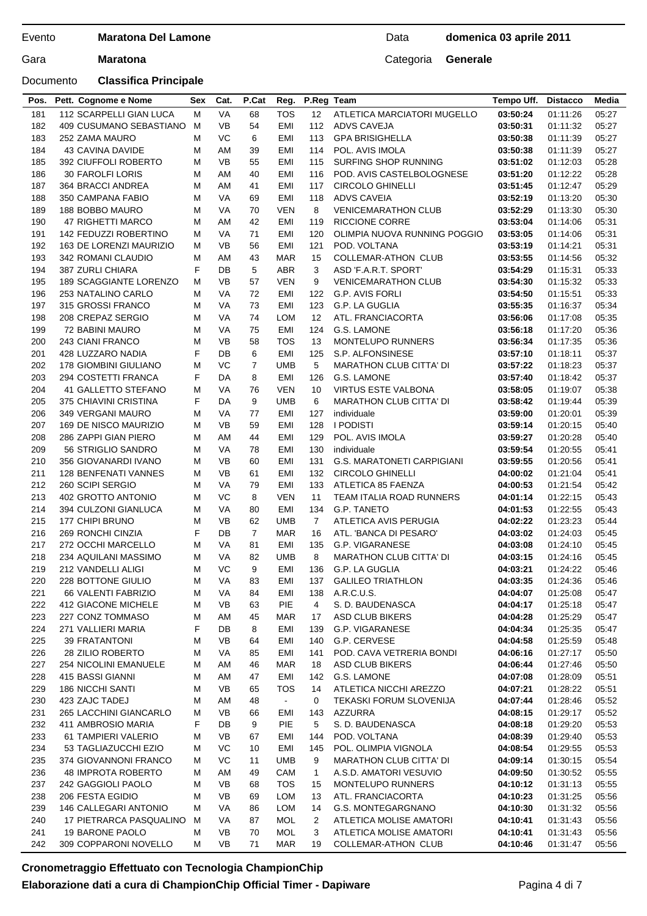## Documento **Classifica Principale**

## Data **domenica 03 aprile 2011**

| Pos.       | Pett. Cognome e Nome                       | Sex    | Cat.      | P.Cat          | Reg.           | P.Reg Team     |                                                   | Tempo Uff.           | <b>Distacco</b>      | Media          |
|------------|--------------------------------------------|--------|-----------|----------------|----------------|----------------|---------------------------------------------------|----------------------|----------------------|----------------|
| 181        | 112 SCARPELLI GIAN LUCA                    | м      | VA        | 68             | <b>TOS</b>     | 12             | ATLETICA MARCIATORI MUGELLO                       | 03:50:24             | 01:11:26             | 05:27          |
| 182        | 409 CUSUMANO SEBASTIANO                    | M      | VB        | 54             | EMI            | 112            | ADVS CAVEJA                                       | 03:50:31             | 01:11:32             | 05:27          |
| 183        | 252 ZAMA MAURO                             | М      | VC        | 6              | EMI            | 113            | <b>GPA BRISIGHELLA</b>                            | 03:50:38             | 01:11:39             | 05:27          |
| 184        | 43 CAVINA DAVIDE                           | М      | AM        | 39             | EMI            | 114            | POL. AVIS IMOLA                                   | 03:50:38             | 01:11:39             | 05:27          |
| 185        | 392 CIUFFOLI ROBERTO                       | М      | <b>VB</b> | 55             | EMI            | 115            | <b>SURFING SHOP RUNNING</b>                       | 03:51:02             | 01:12:03             | 05:28          |
| 186        | <b>30 FAROLFI LORIS</b>                    | М      | AM        | 40             | EMI            | 116            | POD. AVIS CASTELBOLOGNESE                         | 03:51:20             | 01:12:22             | 05:28          |
| 187        | 364 BRACCI ANDREA                          | м      | AM        | 41             | EMI            | 117            | <b>CIRCOLO GHINELLI</b>                           | 03:51:45             | 01:12:47             | 05:29          |
| 188        | 350 CAMPANA FABIO                          | М      | VA        | 69             | EMI            | 118            | <b>ADVS CAVEIA</b>                                | 03:52:19             | 01:13:20             | 05:30          |
| 189        | 188 BOBBO MAURO                            | м      | VA        | 70             | VEN            | 8              | <b>VENICEMARATHON CLUB</b>                        | 03:52:29             | 01:13:30             | 05:30          |
| 190        | 47 RIGHETTI MARCO                          | м      | AM        | 42             | EMI            | 119            | <b>RICCIONE CORRE</b>                             | 03:53:04             | 01:14:06             | 05:31          |
| 191        | <b>142 FEDUZZI ROBERTINO</b>               | М      | VA        | 71             | EMI            | 120            | OLIMPIA NUOVA RUNNING POGGIO                      | 03:53:05             | 01:14:06             | 05:31          |
| 192        | 163 DE LORENZI MAURIZIO                    | м      | <b>VB</b> | 56             | EMI            | 121            | POD. VOLTANA                                      | 03:53:19             | 01:14:21             | 05:31          |
| 193        | 342 ROMANI CLAUDIO                         | М      | AM        | 43             | <b>MAR</b>     | 15             | <b>COLLEMAR-ATHON CLUB</b>                        | 03:53:55             | 01:14:56             | 05:32          |
| 194        | 387 ZURLI CHIARA                           | F      | DB        | 5              | ABR            | 3              | ASD 'F.A.R.T. SPORT'                              | 03:54:29             | 01:15:31             | 05:33          |
| 195        | 189 SCAGGIANTE LORENZO                     | м      | <b>VB</b> | 57             | <b>VEN</b>     | 9              | <b>VENICEMARATHON CLUB</b>                        | 03:54:30             | 01:15:32             | 05:33          |
| 196        | 253 NATALINO CARLO                         | М      | VA        | 72             | EMI            | 122            | G.P. AVIS FORLI                                   | 03:54:50             | 01:15:51             | 05:33          |
| 197        | 315 GROSSI FRANCO                          | М      | VA        | 73             | EMI            | 123            | G.P. LA GUGLIA                                    | 03:55:35             | 01:16:37             | 05:34          |
| 198        | 208 CREPAZ SERGIO                          | м      | VA        | 74             | LOM            | 12             | ATL. FRANCIACORTA                                 | 03:56:06             | 01:17:08             | 05:35          |
| 199        | 72 BABINI MAURO                            | М      | VA        | 75             | EMI            | 124            | G.S. LAMONE                                       | 03:56:18             | 01:17:20             | 05:36          |
| 200        | 243 CIANI FRANCO                           | М      | VB        | 58             | <b>TOS</b>     | 13             | <b>MONTELUPO RUNNERS</b>                          | 03:56:34             | 01:17:35             | 05:36          |
| 201        | 428 LUZZARO NADIA                          | F      | DB        | 6              | EMI            | 125            | S.P. ALFONSINESE                                  | 03:57:10             | 01:18:11             | 05:37          |
| 202        | <b>178 GIOMBINI GIULIANO</b>               | М      | VC.       | $\overline{7}$ | <b>UMB</b>     | 5              | <b>MARATHON CLUB CITTA' DI</b>                    | 03:57:22             | 01:18:23             | 05:37          |
| 203        | 294 COSTETTI FRANCA                        | F      | DA        | 8              | EMI            | 126            | G.S. LAMONE                                       | 03:57:40             | 01:18:42             | 05:37          |
| 204        | 41 GALLETTO STEFANO                        | М      | VA        | 76             | VEN            | 10             | <b>VIRTUS ESTE VALBONA</b>                        | 03:58:05             | 01:19:07             | 05:38          |
| 205        | 375 CHIAVINI CRISTINA                      | F      | DA        | 9              | UMB            | 6              | <b>MARATHON CLUB CITTA' DI</b>                    | 03:58:42             | 01:19:44             | 05:39          |
| 206        | 349 VERGANI MAURO                          | м      | VA        | 77             | EMI            | 127            | individuale                                       | 03:59:00             | 01:20:01             | 05:39          |
| 207        | 169 DE NISCO MAURIZIO                      | М      | <b>VB</b> | 59             | EMI            | 128            | <b>I PODISTI</b>                                  | 03:59:14             | 01:20:15             | 05:40          |
| 208        | 286 ZAPPI GIAN PIERO                       | м      | AM        | 44             | EMI            | 129            | POL. AVIS IMOLA                                   | 03:59:27             | 01:20:28             | 05:40          |
| 209        | 56 STRIGLIO SANDRO                         | М      | VA        | 78             | EMI            | 130            | individuale                                       | 03:59:54             | 01:20:55             | 05:41          |
| 210        | 356 GIOVANARDI IVANO                       | м      | <b>VB</b> | 60             | EMI            | 131            | <b>G.S. MARATONETI CARPIGIANI</b>                 | 03:59:55             | 01:20:56             | 05:41          |
| 211        | <b>128 BENFENATI VANNES</b>                | м      | VB        | 61             | EMI            | 132            | <b>CIRCOLO GHINELLI</b>                           | 04:00:02             | 01:21:04             | 05:41          |
| 212        | 260 SCIPI SERGIO                           | М      | VA        | 79             | EMI            | 133            | ATLETICA 85 FAENZA                                | 04:00:53             | 01:21:54             | 05:42          |
| 213        | 402 GROTTO ANTONIO                         | м      | VC        | 8              | VEN            | 11             | <b>TEAM ITALIA ROAD RUNNERS</b>                   | 04:01:14             | 01:22:15             | 05:43          |
| 214        | 394 CULZONI GIANLUCA                       | М      | VA        | 80             | EMI            | 134            | G.P. TANETO                                       | 04:01:53             | 01:22:55             | 05:43          |
| 215        | 177 CHIPI BRUNO                            | М<br>F | VB        | 62             | <b>UMB</b>     | $\overline{7}$ | ATLETICA AVIS PERUGIA                             | 04:02:22             | 01:23:23             | 05:44          |
| 216        | 269 RONCHI CINZIA                          |        | DB        | $\overline{7}$ | <b>MAR</b>     | 16             | ATL. 'BANCA DI PESARO'                            | 04:03:02             | 01:24:03             | 05:45          |
| 217<br>218 | 272 OCCHI MARCELLO<br>234 AQUILANI MASSIMO | м      | VA<br>VA  | 81<br>82       | EMI<br>UMB     | 135<br>8       | G.P. VIGARANESE<br><b>MARATHON CLUB CITTA' DI</b> | 04:03:08<br>04:03:15 | 01:24:10<br>01:24:16 | 05:45<br>05:45 |
| 219        | 212 VANDELLI ALIGI                         | м<br>м | <b>VC</b> | 9              | EMI            | 136            | G.P. LA GUGLIA                                    | 04:03:21             | 01:24:22             | 05:46          |
| 220        | 228 BOTTONE GIULIO                         | M      | VA        | 83             | EMI            |                | 137 GALILEO TRIATHLON                             | 04:03:35 01:24:36    |                      | 05:46          |
| 221        | 66 VALENTI FABRIZIO                        | м      | VA        | 84             | EMI            | 138            | A.R.C.U.S.                                        | 04:04:07             | 01:25:08             | 05:47          |
| 222        | 412 GIACONE MICHELE                        | М      | VB        | 63             | <b>PIE</b>     | 4              | S. D. BAUDENASCA                                  | 04:04:17             | 01:25:18             | 05:47          |
| 223        | 227 CONZ TOMMASO                           | M      | AM        | 45             | MAR            | 17             | ASD CLUB BIKERS                                   | 04:04:28             | 01:25:29             | 05:47          |
| 224        | 271 VALLIERI MARIA                         | F      | DB        | 8              | EMI            | 139            | G.P. VIGARANESE                                   | 04:04:34             | 01:25:35             | 05:47          |
| 225        | <b>39 FRATANTONI</b>                       | М      | VB        | 64             | EMI            | 140            | G.P. CERVESE                                      | 04:04:58             | 01:25:59             | 05:48          |
| 226        | 28 ZILIO ROBERTO                           | м      | VA        | 85             | EMI            | 141            | POD. CAVA VETRERIA BONDI                          | 04:06:16             | 01:27:17             | 05:50          |
| 227        | <b>254 NICOLINI EMANUELE</b>               | М      | AM        | 46             | MAR            | 18             | ASD CLUB BIKERS                                   | 04:06:44             | 01:27:46             | 05:50          |
| 228        | 415 BASSI GIANNI                           | М      | AM        | 47             | EMI            | 142            | G.S. LAMONE                                       | 04:07:08             | 01:28:09             | 05:51          |
| 229        | <b>186 NICCHI SANTI</b>                    | М      | VB        | 65             | <b>TOS</b>     | 14             | ATLETICA NICCHI AREZZO                            | 04:07:21             | 01:28:22             | 05:51          |
| 230        | 423 ZAJC TADEJ                             | М      | AM        | 48             | $\blacksquare$ | 0              | <b>TEKASKI FORUM SLOVENIJA</b>                    | 04:07:44             | 01:28:46             | 05:52          |
| 231        | 265 LACCHINI GIANCARLO                     | М      | VB        | 66             | EMI            | 143            | AZZURRA                                           | 04:08:15             | 01:29:17             | 05:52          |
| 232        | 411 AMBROSIO MARIA                         | F      | DB        | 9              | <b>PIE</b>     | 5              | S. D. BAUDENASCA                                  | 04:08:18             | 01:29:20             | 05:53          |
| 233        | 61 TAMPIERI VALERIO                        | М      | VB        | 67             | EMI            | 144            | POD. VOLTANA                                      | 04:08:39             | 01:29:40             | 05:53          |
| 234        | 53 TAGLIAZUCCHI EZIO                       | М      | VC        | 10             | EMI            | 145            | POL. OLIMPIA VIGNOLA                              | 04:08:54             | 01:29:55             | 05:53          |
| 235        | 374 GIOVANNONI FRANCO                      | м      | VC        | 11             | <b>UMB</b>     | 9              | <b>MARATHON CLUB CITTA' DI</b>                    | 04:09:14             | 01:30:15             | 05:54          |
| 236        | <b>48 IMPROTA ROBERTO</b>                  | М      | AM        | 49             | CAM            | $\mathbf{1}$   | A.S.D. AMATORI VESUVIO                            | 04:09:50             | 01:30:52             | 05:55          |
| 237        | 242 GAGGIOLI PAOLO                         | М      | VB        | 68             | <b>TOS</b>     | 15             | <b>MONTELUPO RUNNERS</b>                          | 04:10:12             | 01:31:13             | 05:55          |
| 238        | 206 FESTA EGIDIO                           | М      | <b>VB</b> | 69             | LOM            | 13             | ATL. FRANCIACORTA                                 | 04:10:23             | 01:31:25             | 05:56          |
| 239        | 146 CALLEGARI ANTONIO                      | м      | VA        | 86             | <b>LOM</b>     | 14             | G.S. MONTEGARGNANO                                | 04:10:30             | 01:31:32             | 05:56          |
| 240        | 17 PIETRARCA PASQUALINO                    | M      | VA        | 87             | MOL            | $\overline{2}$ | ATLETICA MOLISE AMATORI                           | 04:10:41             | 01:31:43             | 05:56          |
| 241        | <b>19 BARONE PAOLO</b>                     | м      | VB        | 70             | <b>MOL</b>     | 3              | ATLETICA MOLISE AMATORI                           | 04:10:41             | 01:31:43             | 05:56          |
| 242        | 309 COPPARONI NOVELLO                      | М      | VB        | 71             | MAR            | 19             | <b>COLLEMAR-ATHON CLUB</b>                        | 04:10:46             | 01:31:47             | 05:56          |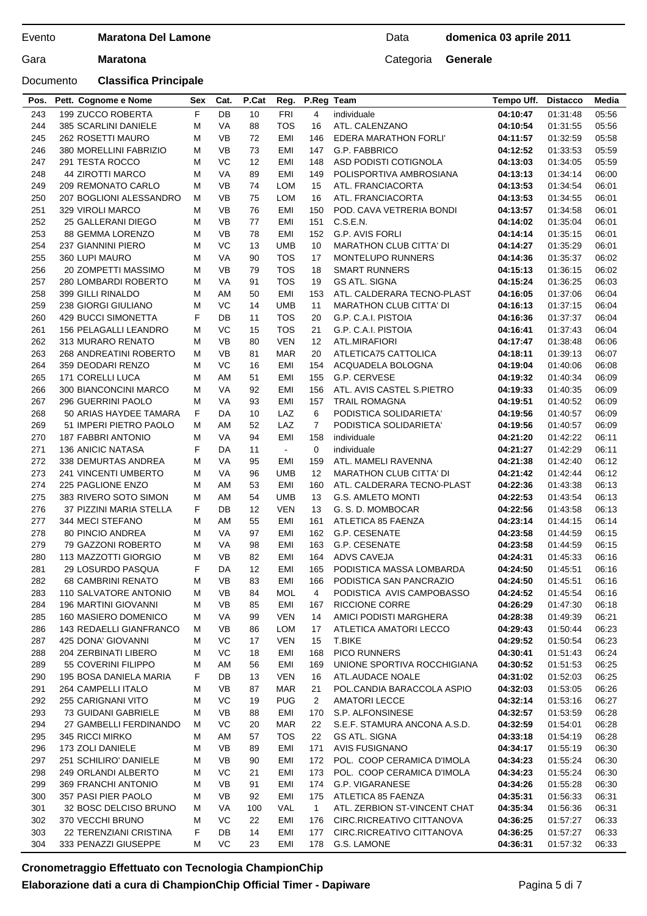Documento **Classifica Principale**

## Data **domenica 03 aprile 2011**

| Pos.       | Pett. Cognome e Nome                             | Sex    | Cat.      | P.Cat    | Reg.              | P.Reg Team     |                                                  | Tempo Uff.           | <b>Distacco</b>      | Media          |
|------------|--------------------------------------------------|--------|-----------|----------|-------------------|----------------|--------------------------------------------------|----------------------|----------------------|----------------|
| 243        | 199 ZUCCO ROBERTA                                | F      | DB        | 10       | <b>FRI</b>        | $\overline{4}$ | individuale                                      | 04:10:47             | 01:31:48             | 05:56          |
| 244        | 385 SCARLINI DANIELE                             | M      | VA        | 88       | <b>TOS</b>        | 16             | ATL. CALENZANO                                   | 04:10:54             | 01:31:55             | 05:56          |
| 245        | 262 ROSETTI MAURO                                | M      | <b>VB</b> | 72       | EMI               | 146            | EDERA MARATHON FORLI'                            | 04:11:57             | 01:32:59             | 05:58          |
| 246        | 380 MORELLINI FABRIZIO                           | м      | <b>VB</b> | 73       | EMI               | 147            | G.P. FABBRICO                                    | 04:12:52             | 01:33:53             | 05:59          |
| 247        | 291 TESTA ROCCO                                  | M      | VC        | 12       | EMI               | 148            | ASD PODISTI COTIGNOLA                            | 04:13:03             | 01:34:05             | 05:59          |
| 248        | 44 ZIROTTI MARCO                                 | M      | VA        | 89       | EMI               | 149            | POLISPORTIVA AMBROSIANA                          | 04:13:13             | 01:34:14             | 06:00          |
| 249        | 209 REMONATO CARLO                               | M      | VB        | 74       | <b>LOM</b>        | 15             | ATL. FRANCIACORTA                                | 04:13:53             | 01:34:54             | 06:01          |
| 250        | 207 BOGLIONI ALESSANDRO                          | м      | <b>VB</b> | 75       | <b>LOM</b>        | 16             | ATL. FRANCIACORTA                                | 04:13:53             | 01:34:55             | 06:01          |
| 251        | 329 VIROLI MARCO                                 | М      | <b>VB</b> | 76       | EMI               | 150            | POD. CAVA VETRERIA BONDI                         | 04:13:57             | 01:34:58             | 06:01          |
| 252        | 25 GALLERANI DIEGO                               | м      | <b>VB</b> | 77       | EMI               | 151            | C.S.E.N.                                         | 04:14:02             | 01:35:04             | 06:01          |
| 253        | 88 GEMMA LORENZO                                 | м      | <b>VB</b> | 78       | EMI               | 152            | G.P. AVIS FORLI                                  | 04:14:14             | 01:35:15             | 06:01          |
| 254        | <b>237 GIANNINI PIERO</b>                        | м      | VC        | 13       | <b>UMB</b>        | 10             | <b>MARATHON CLUB CITTA' DI</b>                   | 04:14:27             | 01:35:29             | 06:01          |
| 255        | 360 LUPI MAURO                                   | м      | VA        | 90       | <b>TOS</b>        | 17             | <b>MONTELUPO RUNNERS</b>                         | 04:14:36             | 01:35:37             | 06:02          |
| 256        | 20 ZOMPETTI MASSIMO                              | M      | VB        | 79       | <b>TOS</b>        | 18             | <b>SMART RUNNERS</b>                             | 04:15:13             | 01:36:15             | 06:02          |
| 257        | 280 LOMBARDI ROBERTO                             | м      | VA        | 91       | <b>TOS</b>        | 19             | <b>GS ATL. SIGNA</b>                             | 04:15:24             | 01:36:25             | 06:03          |
| 258        | 399 GILLI RINALDO                                | M      | AM        | 50       | EMI               | 153            | ATL. CALDERARA TECNO-PLAST                       | 04:16:05             | 01:37:06             | 06:04          |
| 259        | 238 GIORGI GIULIANO                              | M      | VC        | 14       | <b>UMB</b>        | 11             | <b>MARATHON CLUB CITTA' DI</b>                   | 04:16:13             | 01:37:15             | 06:04          |
| 260        | <b>429 BUCCI SIMONETTA</b>                       | F      | DB        | 11       | <b>TOS</b>        | 20             | G.P. C.A.I. PISTOIA                              | 04:16:36             | 01:37:37             | 06:04          |
| 261        | 156 PELAGALLI LEANDRO                            | M      | VC        | 15       | <b>TOS</b>        | 21             | G.P. C.A.I. PISTOIA                              | 04:16:41             | 01:37:43             | 06:04          |
| 262        | 313 MURARO RENATO                                | М      | <b>VB</b> | 80       | <b>VEN</b>        | 12             | ATL.MIRAFIORI                                    | 04:17:47             | 01:38:48             | 06:06          |
| 263        | 268 ANDREATINI ROBERTO                           | M      | <b>VB</b> | 81       | <b>MAR</b>        | 20             | ATLETICA75 CATTOLICA                             | 04:18:11             | 01:39:13             | 06:07          |
| 264        | 359 DEODARI RENZO                                | м      | VC        | 16       | EMI               | 154            | ACQUADELA BOLOGNA                                | 04:19:04             | 01:40:06             | 06:08          |
| 265        | 171 CORELLI LUCA                                 | м      | AM        | 51       | <b>EMI</b>        | 155            | G.P. CERVESE                                     | 04:19:32             | 01:40:34             | 06:09          |
| 266        | 300 BIANCONCINI MARCO                            | м<br>м | VA<br>VA  | 92       | EMI<br><b>EMI</b> | 156<br>157     | ATL. AVIS CASTEL S.PIETRO                        | 04:19:33             | 01:40:35             | 06:09          |
| 267<br>268 | 296 GUERRINI PAOLO                               | F      | DA        | 93<br>10 | LAZ               | 6              | <b>TRAIL ROMAGNA</b>                             | 04:19:51             | 01:40:52             | 06:09          |
| 269        | 50 ARIAS HAYDEE TAMARA<br>51 IMPERI PIETRO PAOLO | М      | AM        | 52       | LAZ               | $\overline{7}$ | PODISTICA SOLIDARIETA'<br>PODISTICA SOLIDARIETA' | 04:19:56<br>04:19:56 | 01:40:57<br>01:40:57 | 06:09<br>06:09 |
| 270        | <b>187 FABBRI ANTONIO</b>                        | M      | VA        | 94       | EMI               | 158            | individuale                                      | 04:21:20             | 01:42:22             | 06:11          |
| 271        | <b>136 ANICIC NATASA</b>                         | F      | DA        | 11       | $\blacksquare$    | 0              | individuale                                      | 04:21:27             | 01:42:29             | 06:11          |
| 272        | 338 DEMURTAS ANDREA                              | M      | VA        | 95       | EMI               | 159            | ATL. MAMELI RAVENNA                              | 04:21:38             | 01:42:40             | 06:12          |
| 273        | 241 VINCENTI UMBERTO                             | M      | VA        | 96       | <b>UMB</b>        | 12             | <b>MARATHON CLUB CITTA' DI</b>                   | 04:21:42             | 01:42:44             | 06:12          |
| 274        | 225 PAGLIONE ENZO                                | M      | AM        | 53       | EMI               | 160            | ATL. CALDERARA TECNO-PLAST                       | 04:22:36             | 01:43:38             | 06:13          |
| 275        | 383 RIVERO SOTO SIMON                            | M      | AM        | 54       | <b>UMB</b>        | 13             | <b>G.S. AMLETO MONTI</b>                         | 04:22:53             | 01:43:54             | 06:13          |
| 276        | 37 PIZZINI MARIA STELLA                          | F      | DB        | 12       | <b>VEN</b>        | 13             | G. S. D. MOMBOCAR                                | 04:22:56             | 01:43:58             | 06:13          |
| 277        | 344 MECI STEFANO                                 | M      | AM        | 55       | EMI               | 161            | ATLETICA 85 FAENZA                               | 04:23:14             | 01:44:15             | 06:14          |
| 278        | 80 PINCIO ANDREA                                 | м      | VA        | 97       | EMI               | 162            | G.P. CESENATE                                    | 04:23:58             | 01:44:59             | 06:15          |
| 279        | 79 GAZZONI ROBERTO                               | м      | VA        | 98       | <b>EMI</b>        | 163            | G.P. CESENATE                                    | 04:23:58             | 01:44:59             | 06:15          |
| 280        | 113 MAZZOTTI GIORGIO                             | M      | VB        | 82       | <b>EMI</b>        | 164            | <b>ADVS CAVEJA</b>                               | 04:24:31             | 01:45:33             | 06:16          |
| 281        | <b>29 LOSURDO PASQUA</b>                         | F      | DA        | 12       | EMI               | 165            | PODISTICA MASSA LOMBARDA                         | 04:24:50             | 01:45:51             | 06:16          |
| 282        | <b>68 CAMBRINI RENATO</b>                        | М      | VB        | 83       | EMI               | 166            | PODISTICA SAN PANCRAZIO                          | 04:24:50             | 01:45:51             | 06:16          |
| 283        | 110 SALVATORE ANTONIO                            | M      | VB        | 84       | MOL               | 4              | PODISTICA AVIS CAMPOBASSO                        | 04:24:52             | 01:45:54             | 06:16          |
| 284        | 196 MARTINI GIOVANNI                             | м      | VB        | 85       | EMI               | 167            | RICCIONE CORRE                                   | 04:26:29             | 01:47:30             | 06:18          |
| 285        | 160 MASIERO DOMENICO                             | м      | VA        | 99       | <b>VEN</b>        | 14             | AMICI PODISTI MARGHERA                           | 04:28:38             | 01:49:39             | 06:21          |
| 286        | <b>143 REDAELLI GIANFRANCO</b>                   | м      | VB        | 86       | LOM               | 17             | ATLETICA AMATORI LECCO                           | 04:29:43             | 01:50:44             | 06:23          |
| 287        | 425 DONA' GIOVANNI                               | м      | VC        | 17       | <b>VEN</b>        | 15             | T.BIKE                                           | 04:29:52             | 01.50:54             | 06:23          |
| 288        | 204 ZERBINATI LIBERO                             | м      | VC        | 18       | EMI               | 168            | PICO RUNNERS                                     | 04:30:41             | 01:51:43             | 06:24          |
| 289        | 55 COVERINI FILIPPO                              | м      | AM        | 56       | EMI               | 169            | UNIONE SPORTIVA ROCCHIGIANA                      | 04:30:52             | 01:51:53             | 06:25          |
| 290        | 195 BOSA DANIELA MARIA                           | F      | DB        | 13       | <b>VEN</b>        | 16             | ATL.AUDACE NOALE                                 | 04:31:02             | 01:52:03             | 06:25          |
| 291        | 264 CAMPELLI ITALO                               | M      | VB        | 87       | <b>MAR</b>        | 21             | POL.CANDIA BARACCOLA ASPIO                       | 04:32:03             | 01:53:05             | 06:26          |
| 292        | 255 CARIGNANI VITO                               | м      | VC        | 19       | <b>PUG</b>        | 2              | <b>AMATORI LECCE</b>                             | 04:32:14             | 01:53:16             | 06:27          |
| 293        | 73 GUIDANI GABRIELE                              | м      | VB        | 88       | EMI               | 170            | S.P. ALFONSINESE                                 | 04:32:57             | 01:53:59             | 06:28          |
| 294        | 27 GAMBELLI FERDINANDO                           | м      | VC        | 20       | <b>MAR</b>        | 22             | S.E.F. STAMURA ANCONA A.S.D.                     | 04:32:59             | 01:54:01             | 06:28          |
| 295        | 345 RICCI MIRKO                                  | M      | AM        | 57       | TOS               | 22             | GS ATL. SIGNA                                    | 04:33:18             | 01:54:19             | 06:28          |
| 296        | 173 ZOLI DANIELE                                 | м      | VB        | 89       | EMI               | 171            | <b>AVIS FUSIGNANO</b>                            | 04:34:17             | 01:55:19             | 06:30          |
| 297        | 251 SCHILIRO' DANIELE                            | M      | VB        | 90       | EMI               | 172            | POL. COOP CERAMICA D'IMOLA                       | 04:34:23             | 01:55:24             | 06:30          |
| 298        | 249 ORLANDI ALBERTO                              | м      | VC        | 21       | EMI               | 173            | POL. COOP CERAMICA D'IMOLA                       | 04:34:23             | 01:55:24             | 06:30          |
| 299        | 369 FRANCHI ANTONIO                              | м      | VB        | 91       | EMI               | 174            | G.P. VIGARANESE                                  | 04:34:26             | 01:55:28             | 06:30          |
| 300        | 357 PASI PIER PAOLO                              | м      | VB        | 92       | EMI               | 175            | ATLETICA 85 FAENZA                               | 04:35:31             | 01:56:33             | 06:31          |
| 301        | 32 BOSC DELCISO BRUNO                            | м      | VA        | 100      | VAL               | $\mathbf{1}$   | ATL. ZERBION ST-VINCENT CHAT                     | 04:35:34             | 01:56:36             | 06:31          |
| 302        | 370 VECCHI BRUNO                                 | м      | VC        | 22       | EMI               | 176            | CIRC.RICREATIVO CITTANOVA                        | 04:36:25             | 01:57:27             | 06:33          |
| 303        | 22 TERENZIANI CRISTINA                           | F      | DB        | 14       | <b>EMI</b>        | 177            | CIRC.RICREATIVO CITTANOVA                        | 04:36:25             | 01:57:27             | 06:33          |
| 304        | 333 PENAZZI GIUSEPPE                             | м      | VC        | 23       | EMI               | 178            | G.S. LAMONE                                      | 04:36:31             | 01:57:32             | 06:33          |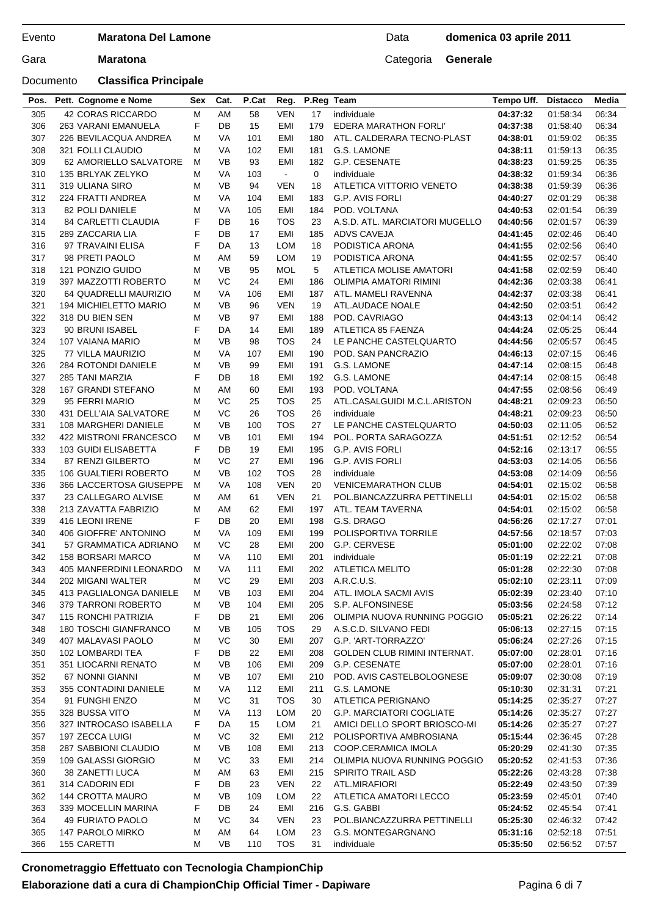Documento **Classifica Principale**

## Data **domenica 03 aprile 2011**

| Pos.       | Pett. Cognome e Nome                           | <b>Sex</b> | Cat.            | P.Cat      | Reg.       | P.Reg Team |                                    | Tempo Uff.           | <b>Distacco</b>      | Media          |
|------------|------------------------------------------------|------------|-----------------|------------|------------|------------|------------------------------------|----------------------|----------------------|----------------|
| 305        | 42 CORAS RICCARDO                              | м          | AM              | 58         | <b>VEN</b> | 17         | individuale                        | 04:37:32             | 01:58:34             | 06:34          |
| 306        | 263 VARANI EMANUELA                            | F          | DB              | 15         | EMI        | 179        | EDERA MARATHON FORLI'              | 04:37:38             | 01:58:40             | 06:34          |
| 307        | 226 BEVILACQUA ANDREA                          | М          | VA              | 101        | EMI        | 180        | ATL. CALDERARA TECNO-PLAST         | 04:38:01             | 01:59:02             | 06:35          |
| 308        | 321 FOLLI CLAUDIO                              | М          | <b>VA</b>       | 102        | EMI        | 181        | G.S. LAMONE                        | 04:38:11             | 01:59:13             | 06:35          |
| 309        | 62 AMORIELLO SALVATORE                         | м          | <b>VB</b>       | 93         | EMI        | 182        | G.P. CESENATE                      | 04:38:23             | 01:59:25             | 06:35          |
| 310        | 135 BRLYAK ZELYKO                              | м          | VA              | 103        | $\sim$     | 0          | individuale                        | 04:38:32             | 01:59:34             | 06:36          |
| 311        | 319 ULIANA SIRO                                | М          | <b>VB</b>       | 94         | VEN        | 18         | ATLETICA VITTORIO VENETO           | 04:38:38             | 01:59:39             | 06:36          |
| 312        | 224 FRATTI ANDREA                              | М          | VA              | 104        | EMI        | 183        | G.P. AVIS FORLI                    | 04:40:27             | 02:01:29             | 06:38          |
| 313        | <b>82 POLI DANIELE</b>                         | М          | VA              | 105        | EMI        | 184        | POD. VOLTANA                       | 04:40:53             | 02:01:54             | 06:39          |
| 314        | <b>84 CARLETTI CLAUDIA</b>                     | F          | DB              | 16         | TOS        | 23         | A.S.D. ATL. MARCIATORI MUGELLO     | 04:40:56             | 02:01:57             | 06:39          |
| 315        | 289 ZACCARIA LIA                               | F          | DB              | 17         | EMI        | 185        | ADVS CAVEJA                        | 04:41:45             | 02:02:46             | 06:40          |
| 316        | 97 TRAVAINI ELISA                              | F          | DA              | 13         | LOM        | 18         | PODISTICA ARONA                    | 04:41:55             | 02:02:56             | 06:40          |
| 317        | 98 PRETI PAOLO                                 | М          | AM              | 59         | <b>LOM</b> | 19         | PODISTICA ARONA                    | 04:41:55             | 02:02:57             | 06:40          |
| 318        | 121 PONZIO GUIDO                               | М          | VB              | 95         | <b>MOL</b> | 5          | ATLETICA MOLISE AMATORI            | 04:41:58             | 02:02:59             | 06:40          |
| 319        | 397 MAZZOTTI ROBERTO                           | м          | VC              | 24         | EMI        | 186        | OLIMPIA AMATORI RIMINI             | 04:42:36             | 02:03:38             | 06:41          |
| 320        | 64 QUADRELLI MAURIZIO                          | м          | <b>VA</b>       | 106        | EMI        | 187        | ATL. MAMELI RAVENNA                | 04:42:37             | 02:03:38             | 06:41          |
| 321        | 194 MICHIELETTO MARIO                          | M          | <b>VB</b>       | 96         | <b>VEN</b> | 19         | ATL.AUDACE NOALE                   | 04:42:50             | 02:03:51             | 06:42          |
| 322        | 318 DU BIEN SEN                                | М          | <b>VB</b>       | 97         | EMI        | 188        | POD. CAVRIAGO                      | 04:43:13             | 02:04:14             | 06:42          |
| 323        | 90 BRUNI ISABEL                                | F          | DA              | 14         | EMI        | 189        | ATLETICA 85 FAENZA                 | 04:44:24             | 02:05:25             | 06:44          |
| 324        | 107 VAIANA MARIO                               | M          | <b>VB</b>       | 98         | <b>TOS</b> | 24         | LE PANCHE CASTELQUARTO             | 04:44:56             | 02:05:57             | 06:45          |
| 325        | 77 VILLA MAURIZIO                              | м          | VA              | 107        | EMI        | 190        | POD. SAN PANCRAZIO                 | 04:46:13             | 02:07:15             | 06:46          |
| 326        | 284 ROTONDI DANIELE                            | М          | <b>VB</b>       | 99         | EMI        | 191        | G.S. LAMONE                        | 04:47:14             | 02:08:15             | 06:48          |
| 327        | 285 TANI MARZIA                                | F          | DB              | 18         | EMI        | 192        | G.S. LAMONE                        | 04:47:14             | 02:08:15             | 06:48          |
| 328        | 167 GRANDI STEFANO                             | М          | AM              | 60         | EMI        | 193        | POD. VOLTANA                       | 04:47:55             | 02:08:56             | 06:49          |
| 329        | 95 FERRI MARIO                                 | м          | VC              | 25         | TOS        | 25         | ATL.CASALGUIDI M.C.L.ARISTON       | 04:48:21             | 02:09:23             | 06:50          |
| 330        | 431 DELL'AIA SALVATORE                         | М          | VC              | 26         | <b>TOS</b> | 26         | individuale                        | 04:48:21             | 02:09:23             | 06:50          |
| 331<br>332 | 108 MARGHERI DANIELE                           | м<br>м     | VB<br><b>VB</b> | 100<br>101 | <b>TOS</b> | 27<br>194  | LE PANCHE CASTELQUARTO             | 04:50:03             | 02:11:05             | 06:52          |
| 333        | 422 MISTRONI FRANCESCO<br>103 GUIDI ELISABETTA | F          | DB              | 19         | EMI<br>EMI |            | POL. PORTA SARAGOZZA               | 04:51:51             | 02:12:52             | 06:54          |
| 334        | 87 RENZI GILBERTO                              | М          | VC              | 27         | EMI        | 195        | G.P. AVIS FORLI<br>G.P. AVIS FORLI | 04:52:16<br>04:53:03 | 02:13:17             | 06:55<br>06:56 |
| 335        | <b>106 GUALTIERI ROBERTO</b>                   | м          | VB              | 102        | <b>TOS</b> | 196<br>28  | individuale                        | 04:53:08             | 02:14:05<br>02:14:09 | 06:56          |
| 336        | 366 LACCERTOSA GIUSEPPE                        | м          | VA              | 108        | <b>VEN</b> | 20         | <b>VENICEMARATHON CLUB</b>         | 04:54:01             | 02:15:02             | 06:58          |
| 337        | 23 CALLEGARO ALVISE                            | М          | AM              | 61         | <b>VEN</b> | 21         | POL.BIANCAZZURRA PETTINELLI        | 04:54:01             | 02:15:02             | 06:58          |
| 338        | 213 ZAVATTA FABRIZIO                           | М          | AM              | 62         | EMI        | 197        | ATL. TEAM TAVERNA                  | 04:54:01             | 02:15:02             | 06:58          |
| 339        | 416 LEONI IRENE                                | F          | DB              | 20         | EMI        | 198        | G.S. DRAGO                         | 04:56:26             | 02:17:27             | 07:01          |
| 340        | 406 GIOFFRE' ANTONINO                          | м          | VA              | 109        | EMI        | 199        | POLISPORTIVA TORRILE               | 04:57:56             | 02:18:57             | 07:03          |
| 341        | 57 GRAMMATICA ADRIANO                          | М          | VC              | 28         | EMI        | 200        | G.P. CERVESE                       | 05:01:00             | 02:22:02             | 07:08          |
| 342        | <b>158 BORSARI MARCO</b>                       | М          | <b>VA</b>       | 110        | EMI        | 201        | individuale                        | 05:01:19             | 02:22:21             | 07:08          |
| 343        | 405 MANFERDINI LEONARDO                        | м          | VA              | 111        | EMI        | 202        | ATLETICA MELITO                    | 05:01:28             | 02:22:30             | 07:08          |
| 344        | 202 MIGANI WALTER                              | M          | VC              | 29         | EMI        |            | 203 A.R.C.U.S.                     | 05:02:10             | 02:23:11             | 07:09          |
| 345        | 413 PAGLIALONGA DANIELE                        | м          | VB              | 103        | EMI        | 204        | ATL. IMOLA SACMI AVIS              | 05:02:39             | 02:23:40             | 07:10          |
| 346        | 379 TARRONI ROBERTO                            | М          | VB              | 104        | EMI        | 205        | S.P. ALFONSINESE                   | 05:03:56             | 02:24:58             | 07:12          |
| 347        | 115 RONCHI PATRIZIA                            | F          | DB              | 21         | EMI        | 206        | OLIMPIA NUOVA RUNNING POGGIO       | 05:05:21             | 02:26:22             | 07:14          |
| 348        | 180 TOSCHI GIANFRANCO                          | м          | VB              | 105        | TOS        | 29         | A.S.C.D. SILVANO FEDI              | 05:06:13             | 02:27:15             | 07:15          |
| 349        | 407 MALAVASI PAOLO                             | М          | VC              | 30         | EMI        | 207        | G.P. 'ART-TORRAZZO'                | 05:06:24             | 02:27:26             | 07:15          |
| 350        | 102 LOMBARDI TEA                               | F          | DB              | 22         | EMI        | 208        | GOLDEN CLUB RIMINI INTERNAT.       | 05:07:00             | 02:28:01             | 07:16          |
| 351        | 351 LIOCARNI RENATO                            | М          | VB              | 106        | EMI        | 209        | G.P. CESENATE                      | 05:07:00             | 02:28:01             | 07:16          |
| 352        | 67 NONNI GIANNI                                | М          | VB              | 107        | EMI        | 210        | POD. AVIS CASTELBOLOGNESE          | 05:09:07             | 02:30:08             | 07:19          |
| 353        | 355 CONTADINI DANIELE                          | м          | VA              | 112        | EMI        | 211        | G.S. LAMONE                        | 05:10:30             | 02:31:31             | 07:21          |
| 354        | 91 FUNGHI ENZO                                 | М          | VC              | 31         | <b>TOS</b> | 30         | ATLETICA PERIGNANO                 | 05:14:25             | 02:35:27             | 07:27          |
| 355        | 328 BUSSA VITO                                 | м          | VA              | 113        | <b>LOM</b> | 20         | <b>G.P. MARCIATORI COGLIATE</b>    | 05:14:26             | 02:35:27             | 07:27          |
| 356        | 327 INTROCASO ISABELLA                         | F          | DA              | 15         | LOM        | 21         | AMICI DELLO SPORT BRIOSCO-MI       | 05:14:26             | 02:35:27             | 07:27          |
| 357        | 197 ZECCA LUIGI                                | М          | VC              | 32         | EMI        | 212        | POLISPORTIVA AMBROSIANA            | 05:15:44             | 02:36:45             | 07:28          |
| 358        | 287 SABBIONI CLAUDIO                           | м          | VB              | 108        | EMI        | 213        | COOP.CERAMICA IMOLA                | 05:20:29             | 02:41:30             | 07:35          |
| 359        | 109 GALASSI GIORGIO                            | м          | VC              | 33         | EMI        | 214        | OLIMPIA NUOVA RUNNING POGGIO       | 05:20:52             | 02:41:53             | 07:36          |
| 360        | 38 ZANETTI LUCA                                | М          | ΑM              | 63         | EMI        | 215        | SPIRITO TRAIL ASD                  | 05:22:26             | 02:43:28             | 07:38          |
| 361        | 314 CADORIN EDI                                | F          | DB              | 23         | VEN        | 22         | ATL.MIRAFIORI                      | 05:22:49             | 02:43:50             | 07:39          |
| 362        | <b>144 CROTTA MAURO</b>                        | М          | VB              | 109        | LOM        | 22         | ATLETICA AMATORI LECCO             | 05:23:59             | 02:45:01             | 07:40          |
| 363        | 339 MOCELLIN MARINA                            | F          | DB              | 24         | EMI        | 216        | G.S. GABBI                         | 05:24:52             | 02:45:54             | 07:41          |
| 364        | 49 FURIATO PAOLO                               | М          | VC              | 34         | VEN        | 23         | POL.BIANCAZZURRA PETTINELLI        | 05:25:30             | 02:46:32             | 07:42          |
| 365        | 147 PAROLO MIRKO                               | М          | AM              | 64         | <b>LOM</b> | 23         | G.S. MONTEGARGNANO                 | 05:31:16             | 02:52:18             | 07:51          |
| 366        | 155 CARETTI                                    | М          | VB              | 110        | <b>TOS</b> | 31         | individuale                        | 05:35:50             | 02:56:52             | 07:57          |